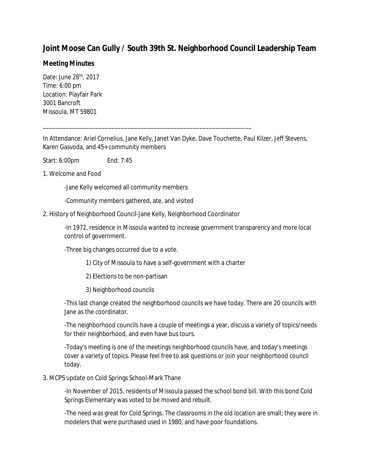# **Joint Moose Can Gully / South 39th St. Neighborhood Council Leadership Team**

## **Meeting Minutes**

Date: June 28th, 2017 Time: 6:00 pm Location: Playfair Park 3001 Bancroft Missoula, MT 59801

In Attendance: Ariel Cornelius, Jane Kelly, Janet Van Dyke, Dave Touchette, Paul Kilzer, Jeff Stevens, Karen Gasvoda, and 45+ community members

Start: 6:00pm End: 7:45

1. Welcome and Food

-Jane Kelly welcomed all community members

-Community members gathered, ate, and visited

2. History of Neighborhood Council-Jane Kelly, Neighborhood Coordinator

\_\_\_\_\_\_\_\_\_\_\_\_\_\_\_\_\_\_\_\_\_\_\_\_\_\_\_\_\_\_\_\_\_\_\_\_\_\_\_\_\_\_\_\_\_\_\_\_\_\_\_\_\_\_\_\_\_\_\_\_\_\_\_\_

-In 1972, residence in Missoula wanted to increase government transparency and more local control of government.

-Three big changes occurred due to a vote.

1) City of Missoula to have a self-government with a charter

2) Elections to be non-partisan

3) Neighborhood councils

-This last change created the neighborhood councils we have today. There are 20 councils with Jane as the coordinator.

-The neighborhood councils have a couple of meetings a year, discuss a variety of topics/needs for their neighborhood, and even have bus tours.

-Today's meeting is one of the meetings neighborhood councils have, and today's meetings cover a variety of topics. Please feel free to ask questions or join your neighborhood council today.

### 3. MCPS update on Cold Springs School-Mark Thane

-In November of 2015, residents of Missoula passed the school bond bill. With this bond Cold Springs Elementary was voted to be moved and rebuilt.

-The need was great for Cold Springs. The classrooms in the old location are small; they were in modelers that were purchased used in 1980, and have poor foundations.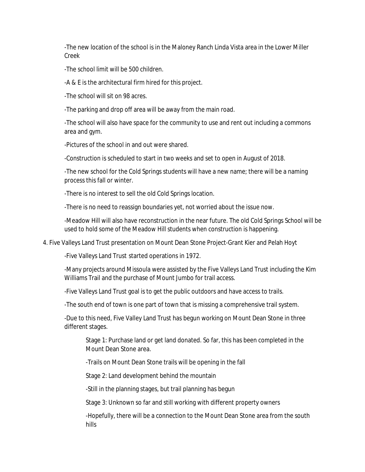-The new location of the school is in the Maloney Ranch Linda Vista area in the Lower Miller Creek

-The school limit will be 500 children.

-A & E is the architectural firm hired for this project.

-The school will sit on 98 acres.

-The parking and drop off area will be away from the main road.

-The school will also have space for the community to use and rent out including a commons area and gym.

-Pictures of the school in and out were shared.

-Construction is scheduled to start in two weeks and set to open in August of 2018.

-The new school for the Cold Springs students will have a new name; there will be a naming process this fall or winter.

-There is no interest to sell the old Cold Springs location.

-There is no need to reassign boundaries yet, not worried about the issue now.

-Meadow Hill will also have reconstruction in the near future. The old Cold Springs School will be used to hold some of the Meadow Hill students when construction is happening.

4. Five Valleys Land Trust presentation on Mount Dean Stone Project-Grant Kier and Pelah Hoyt

-Five Valleys Land Trust started operations in 1972.

-Many projects around Missoula were assisted by the Five Valleys Land Trust including the Kim Williams Trail and the purchase of Mount Jumbo for trail access.

-Five Valleys Land Trust goal is to get the public outdoors and have access to trails.

-The south end of town is one part of town that is missing a comprehensive trail system.

-Due to this need, Five Valley Land Trust has begun working on Mount Dean Stone in three different stages.

Stage 1: Purchase land or get land donated. So far, this has been completed in the Mount Dean Stone area.

-Trails on Mount Dean Stone trails will be opening in the fall

Stage 2: Land development behind the mountain

-Still in the planning stages, but trail planning has begun

Stage 3: Unknown so far and still working with different property owners

-Hopefully, there will be a connection to the Mount Dean Stone area from the south hills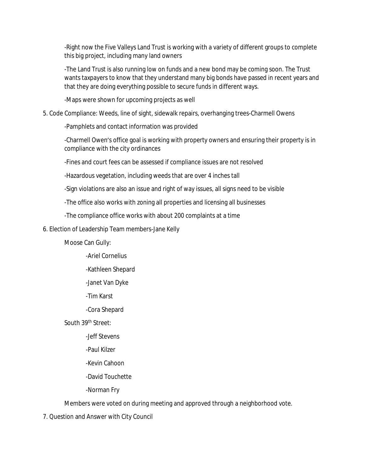-Right now the Five Valleys Land Trust is working with a variety of different groups to complete this big project, including many land owners

-The Land Trust is also running low on funds and a new bond may be coming soon. The Trust wants taxpayers to know that they understand many big bonds have passed in recent years and that they are doing everything possible to secure funds in different ways.

-Maps were shown for upcoming projects as well

#### 5. Code Compliance: Weeds, line of sight, sidewalk repairs, overhanging trees-Charmell Owens

-Pamphlets and contact information was provided

-Charmell Owen's office goal is working with property owners and ensuring their property is in compliance with the city ordinances

-Fines and court fees can be assessed if compliance issues are not resolved

-Hazardous vegetation, including weeds that are over 4 inches tall

-Sign violations are also an issue and right of way issues, all signs need to be visible

-The office also works with zoning all properties and licensing all businesses

-The compliance office works with about 200 complaints at a time

#### 6. Election of Leadership Team members-Jane Kelly

Moose Can Gully:

- -Ariel Cornelius
- -Kathleen Shepard
- -Janet Van Dyke
- -Tim Karst
- -Cora Shepard

South 39th Street:

- -Jeff Stevens
- -Paul Kilzer
- -Kevin Cahoon
- -David Touchette

-Norman Fry

Members were voted on during meeting and approved through a neighborhood vote.

7. Question and Answer with City Council